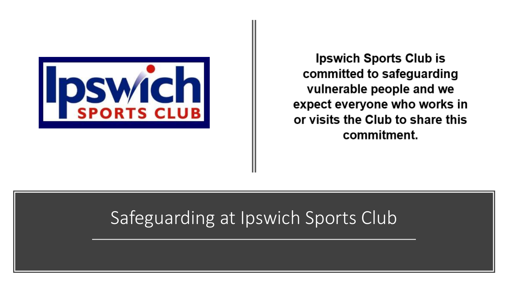

**Ipswich Sports Club is** committed to safeguarding vulnerable people and we expect everyone who works in or visits the Club to share this commitment.

# Safeguarding at Ipswich Sports Club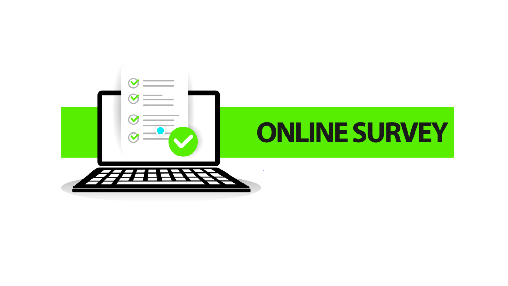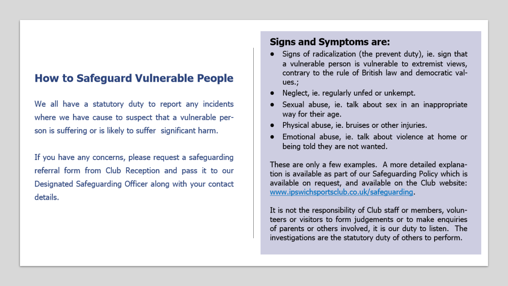## **How to Safeguard Vulnerable People**

We all have a statutory duty to report any incidents where we have cause to suspect that a vulnerable person is suffering or is likely to suffer significant harm.

If you have any concerns, please request a safeguarding referral form from Club Reception and pass it to our Designated Safeguarding Officer along with your contact details.

#### **Signs and Symptoms are:**

- Signs of radicalization (the prevent duty), ie. sign that a vulnerable person is vulnerable to extremist views, contrary to the rule of British law and democratic val $ues.$ ;
- Neglect, ie. regularly unfed or unkempt.
- Sexual abuse, ie. talk about sex in an inappropriate way for their age.
- Physical abuse, ie. bruises or other injuries.
- Emotional abuse, ie. talk about violence at home or being told they are not wanted.

These are only a few examples. A more detailed explanation is available as part of our Safeguarding Policy which is available on request, and available on the Club website: www.ipswichsportsclub.co.uk/safeguarding.

It is not the responsibility of Club staff or members, volunteers or visitors to form judgements or to make enquiries of parents or others involved, it is our duty to listen. The investigations are the statutory duty of others to perform.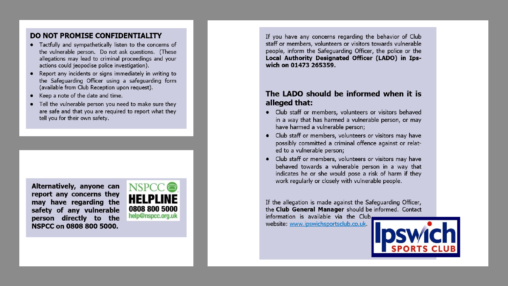#### DO NOT PROMISE CONFIDENTIALITY

- Tactfully and sympathetically listen to the concerns of the vulnerable person. Do not ask questions. (These allegations may lead to criminal proceedings and your actions could jeopodise police investigation).
- Report any incidents or signs immediately in writing to the Safeguarding Officer using a safeguarding form (available from Club Reception upon request).
- Keep a note of the date and time.
- Tell the vulnerable person you need to make sure they are safe and that you are required to report what they tell you for their own safety.

Alternatively, anyone can report any concerns they may have regarding the safety of any vulnerable person directly to the NSPCC on 0808 800 5000.



If you have any concerns regarding the behavior of Club staff or members, volunteers or visitors towards vulnerable people, inform the Safeguarding Officer, the police or the Local Authority Designated Officer (LADO) in Ipswich on 01473 265359.

#### The LADO should be informed when it is alleged that:

- Club staff or members, volunteers or visitors behaved in a way that has harmed a vulnerable person, or may have harmed a vulnerable person;
- Club staff or members, volunteers or visitors may have possibly committed a criminal offence against or related to a vulnerable person;
- Club staff or members, volunteers or visitors may have behaved towards a vulnerable person in a way that indicates he or she would pose a risk of harm if they work regularly or closely with vulnerable people.

If the allegation is made against the Safeguarding Officer, the Club General Manager should be informed. Contact

information is available via the Club. website: www.ipswichsportsclub.co.uk.

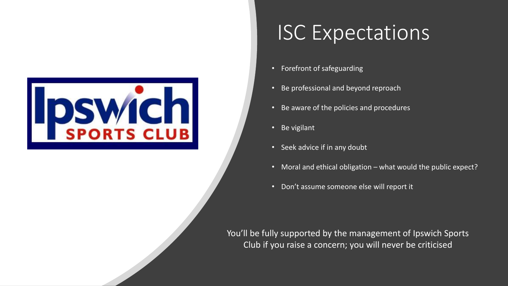

# ISC Expectations

- Forefront of safeguarding
- Be professional and beyond reproach
- Be aware of the policies and procedures
- Be vigilant
- Seek advice if in any doubt
- Moral and ethical obligation what would the public expect?
- Don't assume someone else will report it

You'll be fully supported by the management of Ipswich Sports Club if you raise a concern; you will never be criticised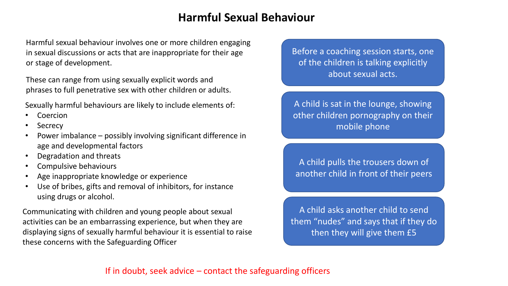# **Harmful Sexual Behaviour**

Harmful sexual behaviour involves one or more children engaging in sexual discussions or acts that are inappropriate for their age or stage of development.

These can range from using sexually explicit words and phrases to full penetrative sex with other children or adults.

Sexually harmful behaviours are likely to include elements of:

- **Coercion**
- Secrecy
- Power imbalance possibly involving significant difference in age and developmental factors
- Degradation and threats
- Compulsive behaviours
- Age inappropriate knowledge or experience
- Use of bribes, gifts and removal of inhibitors, for instance using drugs or alcohol.

Communicating with children and young people about sexual activities can be an embarrassing experience, but when they are displaying signs of sexually harmful behaviour it is essential to raise these concerns with the Safeguarding Officer

Before a coaching session starts, one of the children is talking explicitly about sexual acts.

A child is sat in the lounge, showing other children pornography on their mobile phone

A child pulls the trousers down of another child in front of their peers

A child asks another child to send them "nudes" and says that if they do then they will give them £5

### If in doubt, seek advice  $-$  contact the safeguarding officers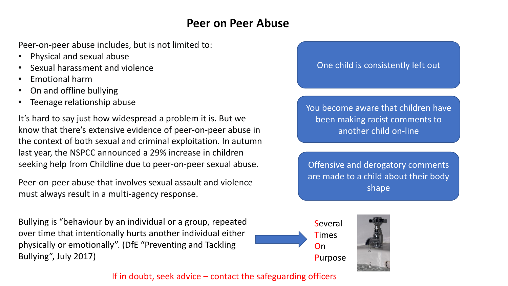# **Peer on Peer Abuse**

Peer-on-peer abuse includes, but is not limited to:

- Physical and sexual abuse
- Sexual harassment and violence
- Emotional harm
- On and offline bullying
- Teenage relationship abuse

It's hard to say just how widespread a problem it is. But we know that there's extensive evidence of peer-on-peer abuse in the context of both sexual and criminal exploitation. In autumn last year, the NSPCC announced a 29% increase in children seeking help from Childline due to peer-on-peer sexual abuse.

Peer-on-peer abuse that involves sexual assault and violence must always result in a multi-agency response.

Bullying is "behaviour by an individual or a group, repeated over time that intentionally hurts another individual either physically or emotionally". (DfE "Preventing and Tackling Bullying", July 2017)

### One child is consistently left out

You become aware that children have been making racist comments to another child on-line

Offensive and derogatory comments are made to a child about their body shape



**Times** Purpose

If in doubt, seek advice  $-$  contact the safeguarding officers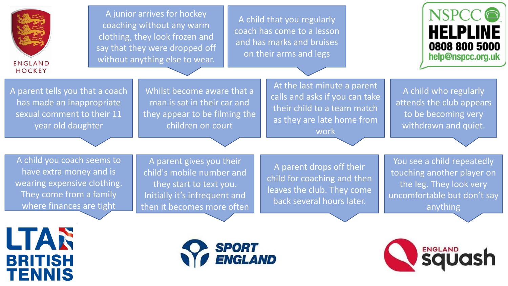

A junior arrives for hockey coaching without any warm clothing, they look frozen and say that they were dropped off without anything else to wear.

A child that you regularly coach has come to a lesson and has marks and bruises on their arms and legs



A parent tells you that a coach has made an inappropriate sexual comment to their 11 year old daughter

Whilst become aware that a man is sat in their car and they appear to be filming the children on court

At the last minute a parent calls and asks if you can take their child to a team match as they are late home from work

A child who regularly attends the club appears to be becoming very withdrawn and quiet.

A child you coach seems to have extra money and is wearing expensive clothing. They come from a family where finances are tight

A parent gives you their child's mobile number and they start to text you. Initially it's infrequent and then it becomes more often

A parent drops off their child for coaching and then leaves the club. They come back several hours later.

You see a child repeatedly touching another player on the leg. They look very uncomfortable but don't say anything

LTAR **BRITISH TENNIS** 



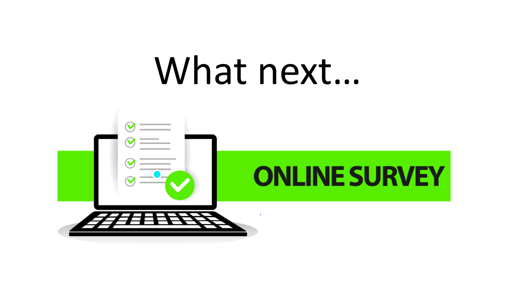# What next...